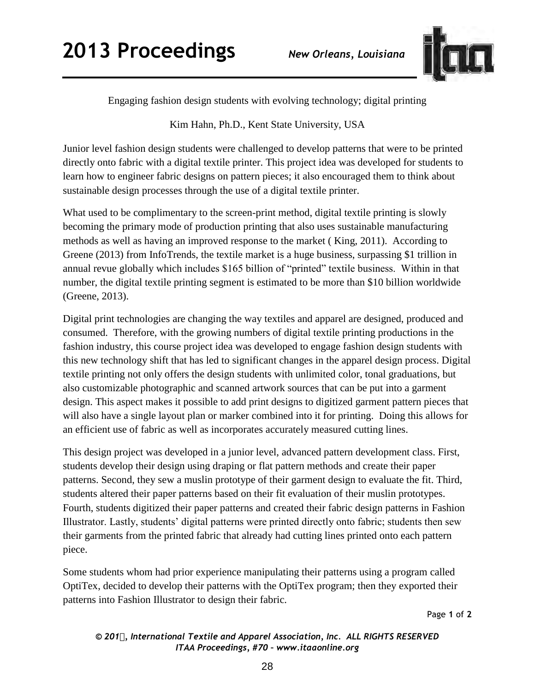

Engaging fashion design students with evolving technology; digital printing

Kim Hahn, Ph.D., Kent State University, USA

Junior level fashion design students were challenged to develop patterns that were to be printed directly onto fabric with a digital textile printer. This project idea was developed for students to learn how to engineer fabric designs on pattern pieces; it also encouraged them to think about sustainable design processes through the use of a digital textile printer.

What used to be complimentary to the screen-print method, digital textile printing is slowly becoming the primary mode of production printing that also uses sustainable manufacturing methods as well as having an improved response to the market ( King, 2011). According to Greene (2013) from InfoTrends, the textile market is a huge business, surpassing \$1 trillion in annual revue globally which includes \$165 billion of "printed" textile business. Within in that number, the digital textile printing segment is estimated to be more than \$10 billion worldwide (Greene, 2013).

Digital print technologies are changing the way textiles and apparel are designed, produced and consumed. Therefore, with the growing numbers of digital textile printing productions in the fashion industry, this course project idea was developed to engage fashion design students with this new technology shift that has led to significant changes in the apparel design process. Digital textile printing not only offers the design students with unlimited color, tonal graduations, but also customizable photographic and scanned artwork sources that can be put into a garment design. This aspect makes it possible to add print designs to digitized garment pattern pieces that will also have a single layout plan or marker combined into it for printing. Doing this allows for an efficient use of fabric as well as incorporates accurately measured cutting lines.

This design project was developed in a junior level, advanced pattern development class. First, students develop their design using draping or flat pattern methods and create their paper patterns. Second, they sew a muslin prototype of their garment design to evaluate the fit. Third, students altered their paper patterns based on their fit evaluation of their muslin prototypes. Fourth, students digitized their paper patterns and created their fabric design patterns in Fashion Illustrator. Lastly, students' digital patterns were printed directly onto fabric; students then sew their garments from the printed fabric that already had cutting lines printed onto each pattern piece.

Some students whom had prior experience manipulating their patterns using a program called OptiTex, decided to develop their patterns with the OptiTex program; then they exported their patterns into Fashion Illustrator to design their fabric.

Page **1** of **2** 

*© 201, International Textile and Apparel Association, Inc. ALL RIGHTS RESERVED ITAA Proceedings, #70 – www.itaaonline.org*